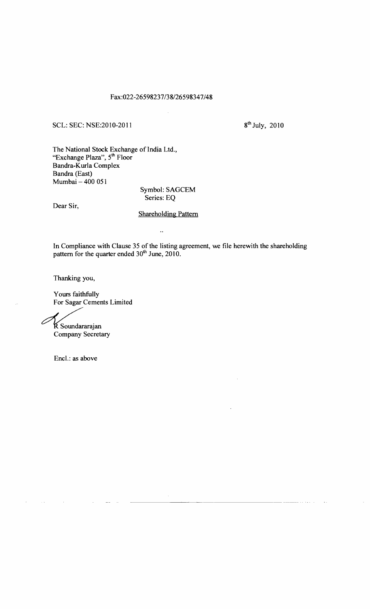## Fax:022-26598237/38/26598347/48

## SCL: SEC: NSE:2010-2011 8<sup>th</sup> July, 2010

The National Stock Exchange of India Ltd., "Exchange Plaza", 5<sup>th</sup> Floor Bandra-Kurla Complex Bandra (East) Mumbai - 400 051

Symbol: SAGCEM Series: EQ

Dear Sir,

## Shareholding Pattern

 $\ddot{\phantom{a}}$ 

In Compliance with Clause 35 of the listing agreement, we file herewith the shareholding pattern for the quarter ended 30<sup>th</sup> June, 2010.

Thanking you,

Yours faithfully For Sagar Cements Limited

 $\mathscr{C}$ K Soundararajan Company Secretary

Encl.: as above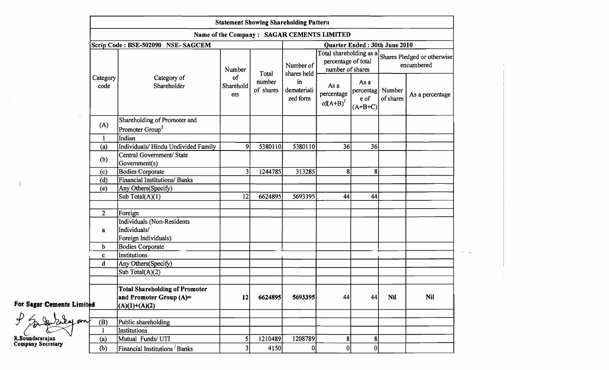|                           |                                             |                                                                    |                                  |                              | <b>Statement Showing Shareholding Pattern</b>             |                                                                    |                                        |                                           |                 |
|---------------------------|---------------------------------------------|--------------------------------------------------------------------|----------------------------------|------------------------------|-----------------------------------------------------------|--------------------------------------------------------------------|----------------------------------------|-------------------------------------------|-----------------|
|                           | Name of the Company : SAGAR CEMENTS LIMITED |                                                                    |                                  |                              |                                                           |                                                                    |                                        |                                           |                 |
|                           |                                             | Scrip Code: BSE-502090 NSE-SAGCEM                                  | Quarter Ended: 30th June 2010    |                              |                                                           |                                                                    |                                        |                                           |                 |
|                           | Category<br>code                            | Category of<br>Shareholder                                         | Number<br>of<br>Sharehold<br>ers | Total<br>number<br>of shares | Number of<br>shares held<br>in<br>demateriali<br>zed form | Total shareholding as a<br>percentage of total<br>number of shares |                                        | Shares Pledged or otherwise<br>encumbered |                 |
|                           |                                             |                                                                    |                                  |                              |                                                           | As a<br>percentage<br>$of(A+B)^{1}$                                | As a<br>percentag<br>e of<br>$(A+B+C)$ | Number<br>of shares                       | As a percentage |
|                           | (A)                                         | Shareholding of Promoter and<br>Promoter Group <sup>2</sup>        |                                  |                              |                                                           |                                                                    |                                        |                                           |                 |
|                           | $\mathbf{1}$                                | Indian                                                             |                                  |                              |                                                           |                                                                    |                                        |                                           |                 |
|                           | (a)                                         | Individuals/ Hindu Undivided Family                                | -91                              | 5380110                      | 5380110                                                   | 36                                                                 | 36                                     |                                           |                 |
|                           | (b)                                         | Central Government/ State<br>Government(s)                         |                                  |                              |                                                           |                                                                    |                                        |                                           |                 |
|                           | (c)                                         | <b>Bodies Corporate</b>                                            | 3                                | 1244785                      | 313285                                                    | ጸ                                                                  | 8 <sub>1</sub>                         |                                           |                 |
|                           | (d)                                         | <b>Financial Institutions/ Banks</b>                               |                                  |                              |                                                           |                                                                    |                                        |                                           |                 |
|                           | (e)                                         | Any Others(Specify)                                                |                                  |                              |                                                           |                                                                    |                                        |                                           |                 |
|                           |                                             | Sub Total(A)(1)                                                    | 12                               | 6624895                      | 5693395                                                   | 44                                                                 | 44                                     |                                           |                 |
|                           |                                             |                                                                    |                                  |                              |                                                           |                                                                    |                                        |                                           |                 |
|                           | $\overline{2}$                              | Foreign                                                            |                                  |                              |                                                           |                                                                    |                                        |                                           |                 |
|                           | a                                           | Individuals (Non-Residents<br>Individuals/<br>Foreign Individuals) |                                  |                              |                                                           |                                                                    |                                        |                                           |                 |
|                           | b                                           | <b>Bodies Corporate</b>                                            |                                  |                              |                                                           |                                                                    |                                        |                                           |                 |
|                           | c                                           | Institutions                                                       |                                  |                              |                                                           |                                                                    |                                        |                                           |                 |
|                           | d                                           | Any Others (Specify)                                               |                                  |                              |                                                           |                                                                    |                                        |                                           |                 |
|                           |                                             | Sub Total(A)(2)                                                    |                                  |                              |                                                           |                                                                    |                                        |                                           |                 |
|                           |                                             |                                                                    |                                  |                              |                                                           |                                                                    |                                        |                                           |                 |
|                           |                                             | <b>Total Shareholding of Promoter</b>                              |                                  |                              |                                                           |                                                                    |                                        |                                           |                 |
|                           |                                             | and Promoter Group (A)=                                            | 12                               | 6624895                      | 5693395                                                   | 44                                                                 | 44                                     | <b>Nil</b>                                | <b>Nil</b>      |
| For Sagar Cements Limited |                                             | $(A)(1)+(A)(2)$                                                    |                                  |                              |                                                           |                                                                    |                                        |                                           |                 |
| <b>AI AW</b>              | (B)                                         | Public shareholding                                                |                                  |                              |                                                           |                                                                    |                                        |                                           |                 |
|                           |                                             | Institutions                                                       |                                  |                              |                                                           |                                                                    |                                        |                                           |                 |
| R.Soundararajan           | (a)                                         | Mutual Funds/UTI                                                   |                                  | 1210489                      | 1208789                                                   | 8 <sup>1</sup>                                                     | 8 <sup>1</sup>                         |                                           |                 |
| <b>Company Secretary</b>  | (b)                                         | Financial Institutions Banks                                       |                                  | 4150                         |                                                           |                                                                    | 0                                      |                                           |                 |

 $\sim 10^{-1}$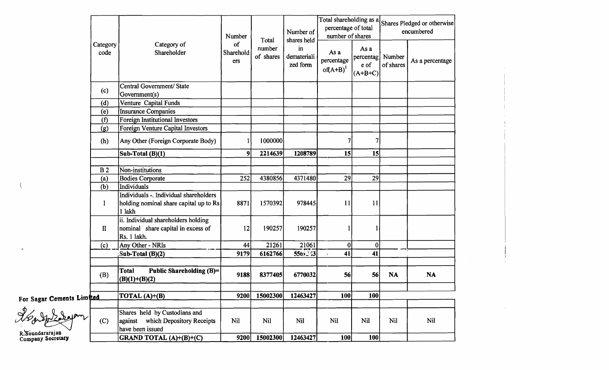|                                      |                  |                                                                                                     | Number                 | Total               | Number of<br>shares held      | Total shareholding as a<br>percentage of total<br>number of shares |                                        | Shares Pledged or otherwise<br>encumbered |                 |
|--------------------------------------|------------------|-----------------------------------------------------------------------------------------------------|------------------------|---------------------|-------------------------------|--------------------------------------------------------------------|----------------------------------------|-------------------------------------------|-----------------|
|                                      | Category<br>code | Category of<br>Shareholder                                                                          | of<br>Sharehold<br>ers | number<br>of shares | in<br>demateriali<br>zed form | As a<br>percentage<br>$of(A+B)^{1}$                                | As a<br>percentag<br>e of<br>$(A+B+C)$ | Number<br>of shares                       | As a percentage |
|                                      | (c)              | Central Government/ State<br>Government(s)                                                          |                        |                     |                               |                                                                    |                                        |                                           |                 |
|                                      | (d)              | Venture Capital Funds                                                                               |                        |                     |                               |                                                                    |                                        |                                           |                 |
|                                      | (e)              | <b>Insurance Companies</b>                                                                          |                        |                     |                               |                                                                    |                                        |                                           |                 |
|                                      | (f)              | Foreign Institutional Investors                                                                     |                        |                     |                               |                                                                    |                                        |                                           |                 |
|                                      | (g)              | Foreign Venture Capital Investors                                                                   |                        |                     |                               |                                                                    |                                        |                                           |                 |
|                                      | (h)              | Any Other (Foreign Corporate Body)                                                                  |                        | 1000000             |                               |                                                                    | 7                                      |                                           |                 |
|                                      |                  | Sub-Total (B)(1)                                                                                    | $\overline{9}$         | 2214639             | 1208789                       | 15                                                                 | 15                                     |                                           |                 |
|                                      |                  |                                                                                                     |                        |                     |                               |                                                                    |                                        |                                           |                 |
|                                      | B <sub>2</sub>   | Non-institutions                                                                                    |                        |                     |                               |                                                                    |                                        |                                           |                 |
|                                      | (a)              | <b>Bodies Corporate</b>                                                                             | 252                    | 4380856             | 4371480                       | 29                                                                 | 29                                     |                                           |                 |
|                                      | (b)              | Individuals                                                                                         |                        |                     |                               |                                                                    |                                        |                                           |                 |
|                                      | $\bf{l}$         | Individuals -. Individual shareholders<br>holding nominal share capital up to $\text{Rs}$<br>1 lakh | 8871                   | 1570392             | 978445                        | 11                                                                 | 11                                     |                                           |                 |
|                                      | $\mathbf{I}$     | ii. Individual shareholders holding<br>nominal share capital in excess of<br>Rs. 1 lakh.            | 12                     | 190257              | 190257                        |                                                                    |                                        |                                           |                 |
|                                      | (c)              | Any Other - NRIs                                                                                    | 44                     | 21261               | 21061                         | $\bf{0}$                                                           | 0                                      |                                           |                 |
|                                      |                  | Sub-Total (B)(2)                                                                                    | 9179                   | 6162766             | 5569243                       | 41                                                                 | 41                                     |                                           |                 |
|                                      |                  |                                                                                                     |                        |                     |                               |                                                                    |                                        |                                           |                 |
|                                      | (B)              | Total<br>Public Shareholding $(B)=$<br>$(B)(1)+(B)(2)$                                              | 9188                   | 8377405             | 6770032                       | 56                                                                 | 56                                     | <b>NA</b>                                 | <b>NA</b>       |
|                                      |                  |                                                                                                     |                        |                     |                               |                                                                    |                                        |                                           |                 |
| For Sagar Cements Limited            |                  | TOTAL (A)+(B)                                                                                       | 9200                   | 15002300            | 12463427                      | 100                                                                | 100                                    |                                           |                 |
|                                      | (C)              | Shares held by Custodians and<br>against which Depository Receipts<br>have been issued              | Nil                    | Nil                 | <b>Nil</b>                    | Nil                                                                | <b>Nil</b>                             | Nil                                       | Nil             |
| R.Soundararajan<br>Company Secretary |                  | <b>GRAND TOTAL</b> $(A)+(B)+(C)$                                                                    | 9200                   | 15002300            | 12463427                      | 100                                                                | <b>100</b>                             |                                           |                 |

 $\sim$ 

 $\pm$ 

 $\sim$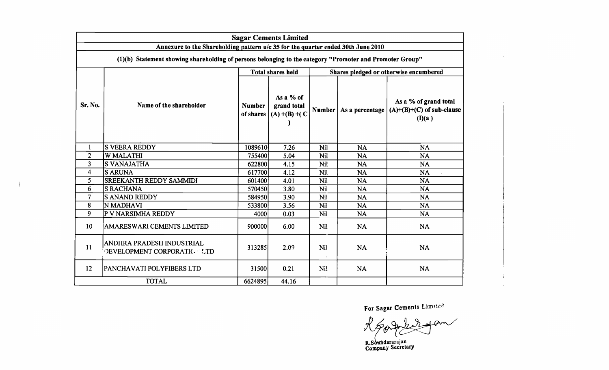|                                                                                                                                                                                              | <b>Sagar Cements Limited</b>                                   |               |                                                         |                                        |           |                                                                                          |  |  |  |
|----------------------------------------------------------------------------------------------------------------------------------------------------------------------------------------------|----------------------------------------------------------------|---------------|---------------------------------------------------------|----------------------------------------|-----------|------------------------------------------------------------------------------------------|--|--|--|
| Annexure to the Shareholding pattern u/c 35 for the quarter ended 30th June 2010<br>(1)(b) Statement showing shareholding of persons belonging to the category "Promoter and Promoter Group" |                                                                |               |                                                         |                                        |           |                                                                                          |  |  |  |
|                                                                                                                                                                                              |                                                                |               | <b>Total shares held</b>                                | Shares pledged or otherwise encumbered |           |                                                                                          |  |  |  |
| Sr. No.                                                                                                                                                                                      | Name of the shareholder                                        | <b>Number</b> | As a % of<br>grand total<br>of shares $(A) + (B) + (C)$ |                                        |           | As a % of grand total<br>Number   As a percentage $ (A)+(B)+(C)$ of sub-clause<br>(I)(a) |  |  |  |
| $\mathbf{1}$                                                                                                                                                                                 | <b>S VEERA REDDY</b>                                           | 1089610       | 7.26                                                    | Nil                                    | <b>NA</b> | <b>NA</b>                                                                                |  |  |  |
| $\overline{2}$                                                                                                                                                                               | <b>W MALATHI</b>                                               | 755400        | 5.04                                                    | Nil                                    | <b>NA</b> | <b>NA</b>                                                                                |  |  |  |
| 3                                                                                                                                                                                            | <b>S VANAJATHA</b>                                             | 622800        | 4.15                                                    | Nil                                    | <b>NA</b> | <b>NA</b>                                                                                |  |  |  |
| $\overline{\mathbf{4}}$                                                                                                                                                                      | <b>S ARUNA</b>                                                 | 617700        | 4.12                                                    | Nil                                    | <b>NA</b> | <b>NA</b>                                                                                |  |  |  |
| 5                                                                                                                                                                                            | <b>SREEKANTH REDDY SAMMIDI</b>                                 | 601400        | 4.01                                                    | Nil                                    | <b>NA</b> | <b>NA</b>                                                                                |  |  |  |
| 6                                                                                                                                                                                            | <b>S RACHANA</b>                                               | 570450        | 3.80                                                    | Nil                                    | <b>NA</b> | <b>NA</b>                                                                                |  |  |  |
| $\overline{7}$                                                                                                                                                                               | <b>SANAND REDDY</b>                                            | 584950        | 3.90                                                    | Nil                                    | <b>NA</b> | <b>NA</b>                                                                                |  |  |  |
| 8                                                                                                                                                                                            | N MADHAVI                                                      | 533800        | 3.56                                                    | Nil                                    | <b>NA</b> | <b>NA</b>                                                                                |  |  |  |
| 9                                                                                                                                                                                            | P V NARSIMHA REDDY                                             | 4000          | 0.03                                                    | Nil                                    | <b>NA</b> | <b>NA</b>                                                                                |  |  |  |
| 10                                                                                                                                                                                           | AMARESWARI CEMENTS LIMITED                                     | 900000        | 6.00                                                    | Nil                                    | <b>NA</b> | <b>NA</b>                                                                                |  |  |  |
| 11                                                                                                                                                                                           | ANDHRA PRADESH INDUSTRIAL<br><b>DEVELOPMENT CORPORATIC LTD</b> | 313285        | 2.09                                                    | Nil                                    | <b>NA</b> | <b>NA</b>                                                                                |  |  |  |
| 12                                                                                                                                                                                           | PANCHAVATI POLYFIBERS LTD                                      | 31500         | 0.21                                                    | Ni!                                    | <b>NA</b> | <b>NA</b>                                                                                |  |  |  |
|                                                                                                                                                                                              | <b>TOTAL</b>                                                   | 6624895       | 44.16                                                   |                                        |           |                                                                                          |  |  |  |

 $\langle$ 

For Sagar Cements Limited

 $\sim 100$ 

 $\mathbf{r}$ 

R Soundararajan